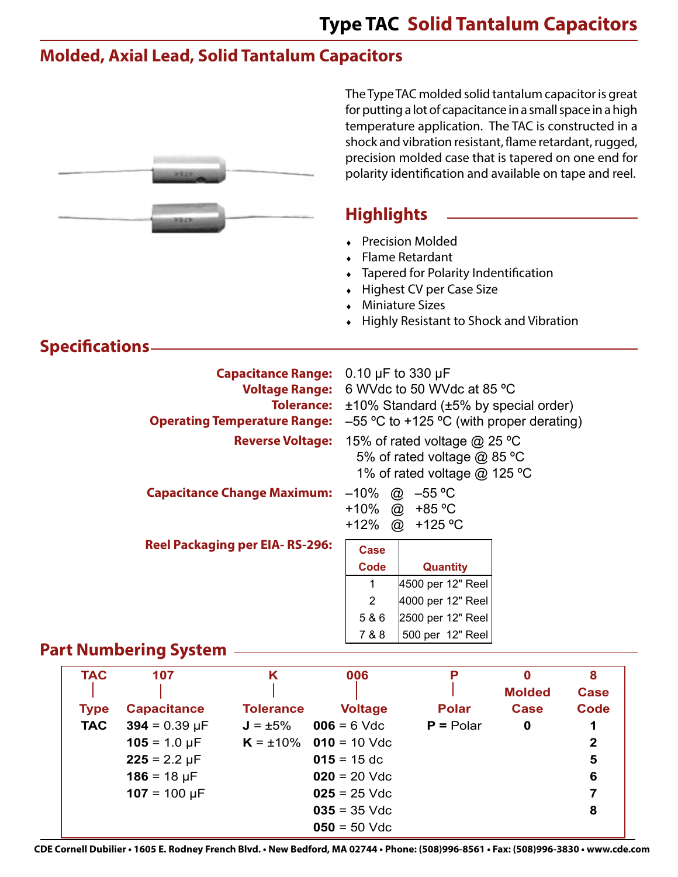The Type TAC molded solid tantalum capacitor is great for putting a lot of capacitance in a small space in a high

# **Molded, Axial Lead, Solid Tantalum Capacitors**

|                                         | <b>MSLM</b>                                                                    |                                                                                                                |                                                                                             | temperature application. The TAC is constructed in a<br>shock and vibration resistant, flame retardant, rugged,<br>precision molded case that is tapered on one end for<br>polarity identification and available on tape and reel. |                                                         |                                                          |  |  |  |
|-----------------------------------------|--------------------------------------------------------------------------------|----------------------------------------------------------------------------------------------------------------|---------------------------------------------------------------------------------------------|------------------------------------------------------------------------------------------------------------------------------------------------------------------------------------------------------------------------------------|---------------------------------------------------------|----------------------------------------------------------|--|--|--|
|                                         |                                                                                |                                                                                                                | <b>Highlights</b>                                                                           |                                                                                                                                                                                                                                    |                                                         |                                                          |  |  |  |
|                                         |                                                                                |                                                                                                                |                                                                                             | <b>Precision Molded</b><br>Flame Retardant<br>Tapered for Polarity Indentification<br><b>Highest CV per Case Size</b><br><b>Miniature Sizes</b><br>Highly Resistant to Shock and Vibration                                         |                                                         |                                                          |  |  |  |
| <b>Specifications</b>                   |                                                                                |                                                                                                                |                                                                                             |                                                                                                                                                                                                                                    |                                                         |                                                          |  |  |  |
|                                         |                                                                                | <b>Capacitance Range:</b><br><b>Voltage Range:</b><br><b>Tolerance:</b><br><b>Operating Temperature Range:</b> |                                                                                             | 0.10 $\mu$ F to 330 $\mu$ F<br>6 WVdc to 50 WVdc at 85 °C<br>$±10\%$ Standard ( $±5\%$ by special order)<br>$-55$ °C to +125 °C (with proper derating)                                                                             |                                                         |                                                          |  |  |  |
|                                         |                                                                                | <b>Reverse Voltage:</b>                                                                                        | 15% of rated voltage @ 25 °C<br>5% of rated voltage @ 85 °C<br>1% of rated voltage @ 125 °C |                                                                                                                                                                                                                                    |                                                         |                                                          |  |  |  |
|                                         |                                                                                | <b>Capacitance Change Maximum:</b>                                                                             |                                                                                             | $-10\%$ @ $-55$ °C<br>+10% @ +85 °C<br>+12% @ +125 °C                                                                                                                                                                              |                                                         |                                                          |  |  |  |
|                                         |                                                                                | <b>Reel Packaging per EIA-RS-296:</b>                                                                          | Case<br><b>Code</b><br>$\mathbf{1}$<br>2<br>5 & 6<br>7 & 8                                  | <b>Quantity</b><br>4500 per 12" Reel<br>4000 per 12" Reel<br>2500 per 12" Reel<br>500 per 12" Reel                                                                                                                                 |                                                         |                                                          |  |  |  |
|                                         | <b>Part Numbering System</b>                                                   |                                                                                                                |                                                                                             |                                                                                                                                                                                                                                    |                                                         |                                                          |  |  |  |
| <b>TAC</b><br><b>Type</b><br><b>TAC</b> | 107<br><b>Capacitance</b><br>$394 = 0.39 \text{ µF}$<br>$105 = 1.0 \text{ µF}$ | K<br><b>Tolerance</b><br>$J = \pm 5\%$<br>$K = \pm 10\%$                                                       | 006<br><b>Voltage</b><br>$006 = 6$ Vdc<br>$010 = 10$ Vdc                                    | P<br><b>Polar</b><br>$P =$ Polar                                                                                                                                                                                                   | $\mathbf 0$<br><b>Molded</b><br><b>Case</b><br>$\bf{0}$ | 8<br><b>Case</b><br><b>Code</b><br>1<br>$\boldsymbol{2}$ |  |  |  |
|                                         | $225 = 2.2 \mu F$                                                              |                                                                                                                | $015 = 15$ dc                                                                               |                                                                                                                                                                                                                                    |                                                         | 5                                                        |  |  |  |

**CDE Cornell Dubilier • 1605 E. Rodney French Blvd. • New Bedford, MA 02744 • Phone: (508)996-8561 • Fax: (508)996-3830 • www.cde.com**

**050** = 50 Vdc

**186** = 18  $\mu$ F **020** = 20 Vdc **6 107** = 100  $\mu$ F **025** = 25 Vdc

**035** = 35 Vdc **8**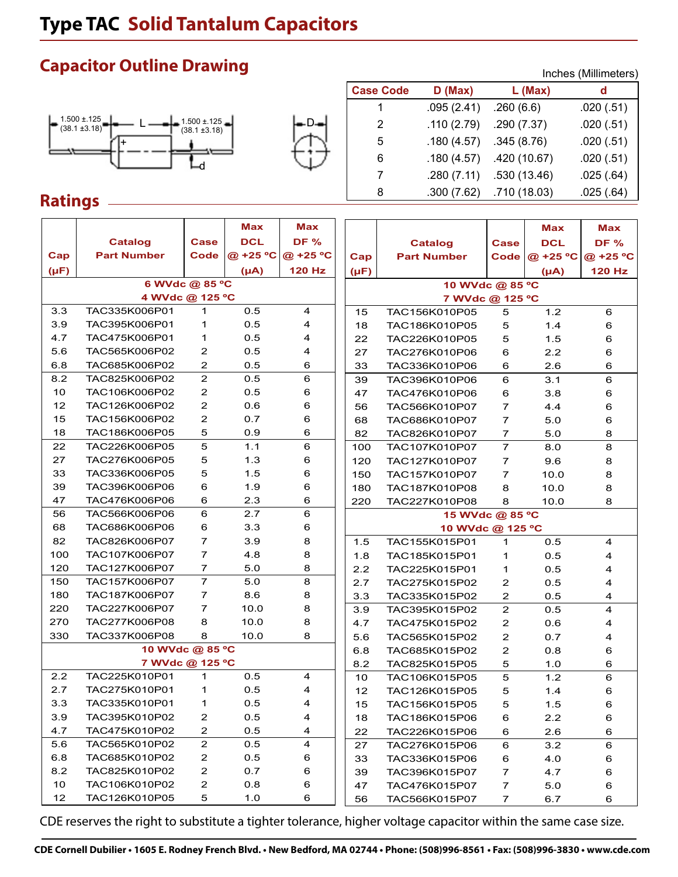# **Type TAC Solid Tantalum Capacitors**

#### $L \longrightarrow$   $\sim$   $1.500 \pm 125$   $\sim$   $\sim$   $\sim$   $\sim$   $\sim$   $\sim$   $\sim$ d 1.500 ±.125  $(38.1 \pm 3.18)$  $(38.1 \pm 3.18)$ +

**Capacitor Outline Drawing**



|                  |            | Inches (Millimeters) |           |  |  |  |
|------------------|------------|----------------------|-----------|--|--|--|
| <b>Case Code</b> | D(Max)     | L (Max)              | d         |  |  |  |
| 1                | .095(2.41) | .260(6.6)            | .020(.51) |  |  |  |
| 2                | .110(2.79) | .290(7.37)           | .020(.51) |  |  |  |
| 5                | .180(4.57) | .345(8.76)           | .020(.51) |  |  |  |
| 6                | .180(4.57) | .420 (10.67)         | .020(.51) |  |  |  |
| 7                | .280(7.11) | .530(13.46)          | .025(.64) |  |  |  |
| 8                | .300(7.62) | .710 (18.03)         | .025(.64) |  |  |  |

### **Ratings**

|                 |                    |                         | <b>Max</b> | <b>Max</b>              |                 |                    |                | Max        | Max                     |
|-----------------|--------------------|-------------------------|------------|-------------------------|-----------------|--------------------|----------------|------------|-------------------------|
|                 | <b>Catalog</b>     | <b>Case</b>             | <b>DCL</b> | <b>DF %</b>             |                 | <b>Catalog</b>     | Case           | <b>DCL</b> | <b>DF %</b>             |
| Cap             | <b>Part Number</b> | Code                    | @ +25 °C   | @ +25 °C                | Cap             | <b>Part Number</b> | Code           | @ +25 °C   | @ +25 °C                |
| $(\mu F)$       |                    |                         | $(\mu A)$  | 120 Hz                  | $(\mu F)$       |                    |                | $(\mu A)$  | <b>120 Hz</b>           |
|                 | 6 WVdc @ 85 °C     |                         |            |                         |                 | 10 WVdc @ 85 °C    |                |            |                         |
| 4 WVdc @ 125 °C |                    |                         |            |                         |                 | 7 WVdc @ 125 °C    |                |            |                         |
| 3.3             | TAC335K006P01      | $\mathbf{1}$            | 0.5        | 4                       | 15              | TAC156K010P05      | 5              | 1.2        | 6                       |
| 3.9             | TAC395K006P01      | 1                       | 0.5        | 4                       | 18              | TAC186K010P05      | 5              | 1.4        | 6                       |
| 4.7             | TAC475K006P01      | 1                       | 0.5        | 4                       | 22              | TAC226K010P05      | 5              | 1.5        | 6                       |
| 5.6             | TAC565K006P02      | 2                       | 0.5        | 4                       | 27              | TAC276K010P06      | 6              | 2.2        | 6                       |
| 6.8             | TAC685K006P02      | 2                       | 0.5        | 6                       | 33              | TAC336K010P06      | 6              | 2.6        | 6                       |
| 8.2             | TAC825K006P02      | $\overline{c}$          | 0.5        | 6                       | 39              | TAC396K010P06      | 6              | 3.1        | $6\phantom{1}$          |
| 10              | TAC106K006P02      | $\overline{\mathbf{c}}$ | 0.5        | 6                       | 47              | TAC476K010P06      | 6              | 3.8        | 6                       |
| 12              | TAC126K006P02      | $\overline{\mathbf{c}}$ | 0.6        | 6                       | 56              | TAC566K010P07      | 7              | 4.4        | 6                       |
| 15              | TAC156K006P02      | $\overline{\mathbf{c}}$ | 0.7        | 6                       | 68              | TAC686K010P07      | $\overline{7}$ | 5.0        | 6                       |
| 18              | TAC186K006P05      | 5                       | 0.9        | 6                       | 82              | TAC826K010P07      | 7              | 5.0        | 8                       |
| 22              | TAC226K006P05      | 5                       | 1.1        | 6                       | 100             | TAC107K010P07      | $\overline{7}$ | 8.0        | 8                       |
| 27              | TAC276K006P05      | 5                       | 1.3        | 6                       | 120             | TAC127K010P07      | 7              | 9.6        | 8                       |
| 33              | TAC336K006P05      | 5                       | 1.5        | 6                       | 150             | TAC157K010P07      | $\overline{7}$ | 10.0       | 8                       |
| 39              | TAC396K006P06      | 6                       | 1.9        | 6                       | 180             | TAC187K010P08      | 8              | 10.0       | 8                       |
| 47              | TAC476K006P06      | 6                       | 2.3        | 6                       | 220             | TAC227K010P08      | 8              | 10.0       | 8                       |
| 56              | TAC566K006P06      | 6                       | 2.7        | 6                       | 15 WVdc @ 85 °C |                    |                |            |                         |
| 68              | TAC686K006P06      | 6                       | 3.3        | 6                       |                 | 10 WVdc @ 125 °C   |                |            |                         |
| 82              | TAC826K006P07      | $\overline{7}$          | 3.9        | 8                       | 1.5             | TAC155K015P01      | $\mathbf{1}$   | 0.5        | 4                       |
| 100             | TAC107K006P07      | $\overline{7}$          | 4.8        | 8                       | 1.8             | TAC185K015P01      | 1              | 0.5        | 4                       |
| 120             | TAC127K006P07      | 7                       | 5.0        | 8                       | 2.2             | TAC225K015P01      | 1              | 0.5        | 4                       |
| 150             | TAC157K006P07      | $\overline{7}$          | 5.0        | 8                       | 2.7             | TAC275K015P02      | 2              | 0.5        | 4                       |
| 180             | TAC187K006P07      | $\overline{7}$          | 8.6        | 8                       | 3.3             | TAC335K015P02      | $\mathbf{Z}$   | 0.5        | 4                       |
| 220             | TAC227K006P07      | 7                       | 10.0       | 8                       | 3.9             | TAC395K015P02      | $\mathbf 2$    | 0.5        | $\overline{4}$          |
| 270             | TAC277K006P08      | 8                       | 10.0       | 8                       | 4.7             | TAC475K015P02      | $\mathbf 2$    | 0.6        | 4                       |
| 330             | TAC337K006P08      | 8                       | 10.0       | 8                       | 5.6             | TAC565K015P02      | 2              | 0.7        | $\overline{\mathbf{4}}$ |
|                 | 10 WVdc @ 85 °C    |                         |            |                         | 6.8             | TAC685K015P02      | 2              | 0.8        | 6                       |
|                 | 7 WVdc @ 125 °C    |                         |            |                         | 8.2             | TAC825K015P05      | 5              | 1.0        | 6                       |
| 2.2             | TAC225K010P01      | $\mathbf 1$             | 0.5        | 4                       | 10              | TAC106K015P05      | 5              | 1.2        | 6                       |
| 2.7             | TAC275K010P01      | 1                       | 0.5        | 4                       | 12              | TAC126K015P05      | 5              | 1.4        | 6                       |
| 3.3             | TAC335K010P01      | 1                       | 0.5        | 4                       | 15              | TAC156K015P05      | 5              | 1.5        | 6                       |
| 3.9             | TAC395K010P02      | $\overline{\mathbf{c}}$ | 0.5        | 4                       | 18              | TAC186K015P06      | 6              | 2.2        | 6                       |
| 4.7             | TAC475K010P02      | $\mathbf{2}$            | 0.5        | 4                       | 22              | TAC226K015P06      | 6              | 2.6        | 6                       |
| 5.6             | TAC565K010P02      | $\mathbf 2$             | 0.5        | $\overline{\mathbf{4}}$ | 27              | TAC276K015P06      | 6              | 3.2        | 6                       |
| 6.8             | TAC685K010P02      | $\overline{\mathbf{c}}$ | 0.5        | 6                       | 33              | TAC336K015P06      | 6              | 4.0        | 6                       |
| 8.2             | TAC825K010P02      | $\overline{\mathbf{c}}$ | 0.7        | 6                       | 39              | TAC396K015P07      | 7              | 4.7        | 6                       |
| 10              | TAC106K010P02      | $\overline{\mathbf{c}}$ | 0.8        | 6                       | 47              | TAC476K015P07      | 7              | 5.0        | 6                       |
| 12              | TAC126K010P05      | 5                       | 1.0        | 6                       | 56              | TAC566K015P07      | 7              | 6.7        | 6                       |

CDE reserves the right to substitute a tighter tolerance, higher voltage capacitor within the same case size.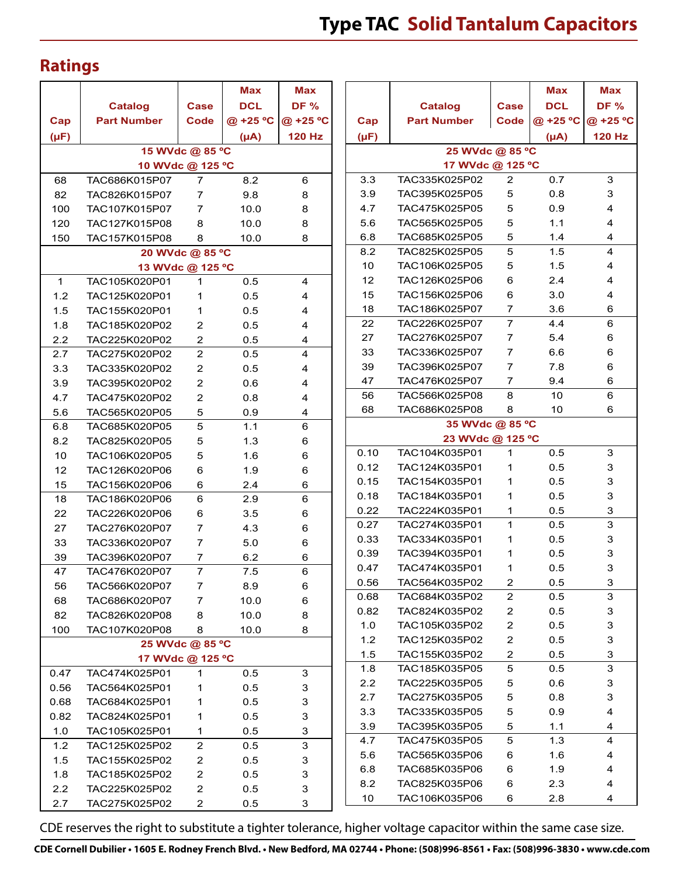## **Ratings**

|                  |                    |                  | Max        | <b>Max</b>    |  |  |  |  |  |
|------------------|--------------------|------------------|------------|---------------|--|--|--|--|--|
|                  | <b>Catalog</b>     | Case             | <b>DCL</b> | <b>DF %</b>   |  |  |  |  |  |
| Cap              | <b>Part Number</b> | <b>Code</b>      | @ +25 °C   | @ +25 °C      |  |  |  |  |  |
| $(\mu F)$        |                    |                  | $(\mu A)$  | <b>120 Hz</b> |  |  |  |  |  |
|                  |                    | 15 WVdc @ 85 °C  |            |               |  |  |  |  |  |
| 10 WVdc @ 125 °C |                    |                  |            |               |  |  |  |  |  |
| 68               | TAC686K015P07      | 7                | 8.2        | 6             |  |  |  |  |  |
| 82               | TAC826K015P07      | 7                | 9.8        | 8             |  |  |  |  |  |
| 100              | TAC107K015P07      | 7                | 10.0       | 8             |  |  |  |  |  |
| 120              | TAC127K015P08      | 8                | 10.0       | 8             |  |  |  |  |  |
| 150              | TAC157K015P08      | 8                | 10.0       | 8             |  |  |  |  |  |
|                  |                    | 20 WVdc @ 85 °C  |            |               |  |  |  |  |  |
|                  |                    | 13 WVdc @ 125 °C |            |               |  |  |  |  |  |
| 1                | TAC105K020P01      | 1                | 0.5        | 4             |  |  |  |  |  |
| 1.2              | TAC125K020P01      | 1                | 0.5        | 4             |  |  |  |  |  |
| 1.5              | TAC155K020P01      | 1                | 0.5        | 4             |  |  |  |  |  |
| 1.8              | TAC185K020P02      | 2                | 0.5        | 4             |  |  |  |  |  |
| $2.2^{\circ}$    | TAC225K020P02      | 2                | 0.5        | 4             |  |  |  |  |  |
| 2.7              | TAC275K020P02      | $\mathbf{2}$     | 0.5        | 4             |  |  |  |  |  |
| 3.3              | TAC335K020P02      | 2                | 0.5        | 4             |  |  |  |  |  |
| 3.9              | TAC395K020P02      | $\overline{2}$   | 0.6        | 4             |  |  |  |  |  |
| 4.7              | TAC475K020P02      | 2                | 0.8        | 4             |  |  |  |  |  |
| 5.6              | TAC565K020P05      | 5                | 0.9        | 4             |  |  |  |  |  |
| 6.8              | TAC685K020P05      | 5                | 1.1        | 6             |  |  |  |  |  |
| 8.2              | TAC825K020P05      | 5                | 1.3        | 6             |  |  |  |  |  |
| 10               | TAC106K020P05      | 5                | 1.6        | 6             |  |  |  |  |  |
| 12               | TAC126K020P06      | 6                | 1.9        | 6             |  |  |  |  |  |
| 15               | TAC156K020P06      | 6                | 2.4        | 6             |  |  |  |  |  |
| 18               | TAC186K020P06      | 6                | 2.9        | 6             |  |  |  |  |  |
| 22               | TAC226K020P06      | 6                | 3.5        | 6             |  |  |  |  |  |
| 27               | TAC276K020P07      | 7                | 4.3        | 6             |  |  |  |  |  |
| 33               | TAC336K020P07      | 7                | 5.0        | 6             |  |  |  |  |  |
| 39               | TAC396K020P07      | 7                | 6.2        | 6             |  |  |  |  |  |
| 47               | TAC476K020P07      | 7                | 7.5        | 6             |  |  |  |  |  |
| 56               | TAC566K020P07      | 7                | 8.9        | 6             |  |  |  |  |  |
| 68               | TAC686K020P07      | 7                | 10.0       | 6             |  |  |  |  |  |
| 82               | TAC826K020P08      | 8                | 10.0       | 8             |  |  |  |  |  |
| 100              | TAC107K020P08      | 8                | 10.0       | 8             |  |  |  |  |  |
|                  |                    | 25 WVdc @ 85 °C  |            |               |  |  |  |  |  |
|                  |                    | 17 WVdc @ 125 °C |            |               |  |  |  |  |  |
| 0.47             | TAC474K025P01      | 1                | 0.5        | 3             |  |  |  |  |  |
| 0.56             | TAC564K025P01      | 1                | 0.5        | 3             |  |  |  |  |  |
| 0.68             | TAC684K025P01      | 1                | 0.5        | 3             |  |  |  |  |  |
| 0.82             | TAC824K025P01      | 1                | 0.5        | 3             |  |  |  |  |  |
| 1.0              | TAC105K025P01      | 1                | 0.5        | 3             |  |  |  |  |  |
| 1.2              | TAC125K025P02      | 2                | 0.5        | 3             |  |  |  |  |  |
| 1.5              | TAC155K025P02      | $\overline{c}$   | 0.5        | 3             |  |  |  |  |  |
| 1.8              | TAC185K025P02      | 2                | 0.5        | 3             |  |  |  |  |  |
| 2.2              | TAC225K025P02      | 2                | 0.5        | 3             |  |  |  |  |  |
| 2.7              | TAC275K025P02      | $\overline{2}$   | 0.5        | 3             |  |  |  |  |  |

|                                     |                    |      | <b>Max</b> | <b>Max</b>    |  |  |  |  |  |  |
|-------------------------------------|--------------------|------|------------|---------------|--|--|--|--|--|--|
|                                     | <b>Catalog</b>     | Case | <b>DCL</b> | DF %          |  |  |  |  |  |  |
| Cap                                 | <b>Part Number</b> | Code | @ +25 °C   | @ +25 °C      |  |  |  |  |  |  |
| $(\mu F)$                           |                    |      | $(\mu A)$  | <b>120 Hz</b> |  |  |  |  |  |  |
|                                     |                    |      |            |               |  |  |  |  |  |  |
| 25 WVdc @ 85 °C<br>17 WVdc @ 125 °C |                    |      |            |               |  |  |  |  |  |  |
| 3.3                                 | TAC335K025P02      | 2    | 0.7        | 3             |  |  |  |  |  |  |
| 3.9                                 | TAC395K025P05      | 5    | 0.8        | 3             |  |  |  |  |  |  |
| 4.7                                 | TAC475K025P05      | 5    | 0.9        | 4             |  |  |  |  |  |  |
| 5.6                                 | TAC565K025P05      | 5    | 1.1        | 4             |  |  |  |  |  |  |
| 6.8                                 | TAC685K025P05      | 5    | 1.4        | 4             |  |  |  |  |  |  |
| 8.2                                 | TAC825K025P05      | 5    | 1.5        | 4             |  |  |  |  |  |  |
| 10                                  | TAC106K025P05      | 5    | 1.5        | 4             |  |  |  |  |  |  |
| 12                                  | TAC126K025P06      | 6    | 2.4        | 4             |  |  |  |  |  |  |
| 15                                  | TAC156K025P06      | 6    | 3.0        | 4             |  |  |  |  |  |  |
| 18                                  | TAC186K025P07      | 7    | 3.6        | 6             |  |  |  |  |  |  |
| 22                                  | TAC226K025P07      | 7    | 4.4        | 6             |  |  |  |  |  |  |
| 27                                  | TAC276K025P07      | 7    | 5.4        | 6             |  |  |  |  |  |  |
| 33                                  | TAC336K025P07      | 7    | 6.6        | 6             |  |  |  |  |  |  |
| 39                                  | TAC396K025P07      | 7    | 7.8        | 6             |  |  |  |  |  |  |
| 47                                  | TAC476K025P07      | 7    | 9.4        | 6             |  |  |  |  |  |  |
| 56                                  | TAC566K025P08      | 8    | 10         | 6             |  |  |  |  |  |  |
| 68                                  | TAC686K025P08      | 8    | 10         | 6             |  |  |  |  |  |  |
| 35 WVdc @ 85 °C                     |                    |      |            |               |  |  |  |  |  |  |
|                                     | 23 WVdc @ 125 °C   |      |            |               |  |  |  |  |  |  |
| 0.10                                | TAC104K035P01      | 1    | 0.5        | 3             |  |  |  |  |  |  |
| 0.12                                | TAC124K035P01      | 1    | 0.5        | 3             |  |  |  |  |  |  |
| 0.15                                | TAC154K035P01      | 1    | 0.5        | 3             |  |  |  |  |  |  |
| 0.18                                | TAC184K035P01      | 1    | 0.5        | 3             |  |  |  |  |  |  |
| 0.22                                | TAC224K035P01      | 1    | 0.5        | 3             |  |  |  |  |  |  |
| 0.27                                | TAC274K035P01      | 1    | 0.5        | 3             |  |  |  |  |  |  |
| 0.33                                | TAC334K035P01      | 1    | 0.5        | 3             |  |  |  |  |  |  |
| 0.39                                | TAC394K035P01      | 1    | 0.5        | 3             |  |  |  |  |  |  |
| 0.47                                | TAC474K035P01      | 1    | 0.5        | 3             |  |  |  |  |  |  |
| 0.56                                | TAC564K035P02      | 2    | 0.5        | 3             |  |  |  |  |  |  |
| 0.68                                | TAC684K035P02      | 2    | 0.5        | 3             |  |  |  |  |  |  |
| 0.82                                | TAC824K035P02      | 2    | 0.5        | 3             |  |  |  |  |  |  |
| 1.0                                 | TAC105K035P02      | 2    | 0.5        | 3             |  |  |  |  |  |  |
| 1.2                                 | TAC125K035P02      | 2    | 0.5        | 3             |  |  |  |  |  |  |
| 1.5                                 | TAC155K035P02      | 2    | 0.5        | 3             |  |  |  |  |  |  |
| 1.8                                 | TAC185K035P05      | 5    | 0.5        | 3             |  |  |  |  |  |  |
| 2.2                                 | TAC225K035P05      | 5    | 0.6        | 3             |  |  |  |  |  |  |
| 2.7                                 | TAC275K035P05      | 5    | 0.8        | 3             |  |  |  |  |  |  |
| 3.3                                 | TAC335K035P05      | 5    | 0.9        | 4             |  |  |  |  |  |  |
| 3.9                                 | TAC395K035P05      | 5    | 1.1        | 4             |  |  |  |  |  |  |
| 4.7                                 | TAC475K035P05      | 5    | 1.3        | 4             |  |  |  |  |  |  |
| 5.6                                 | TAC565K035P06      | 6    | 1.6        | 4             |  |  |  |  |  |  |
| 6.8                                 | TAC685K035P06      | 6    | 1.9        | 4             |  |  |  |  |  |  |
| 8.2                                 | TAC825K035P06      | 6    | 2.3        | 4             |  |  |  |  |  |  |
| 10                                  | TAC106K035P06      | 6    | 2.8        | 4             |  |  |  |  |  |  |

CDE reserves the right to substitute a tighter tolerance, higher voltage capacitor within the same case size.